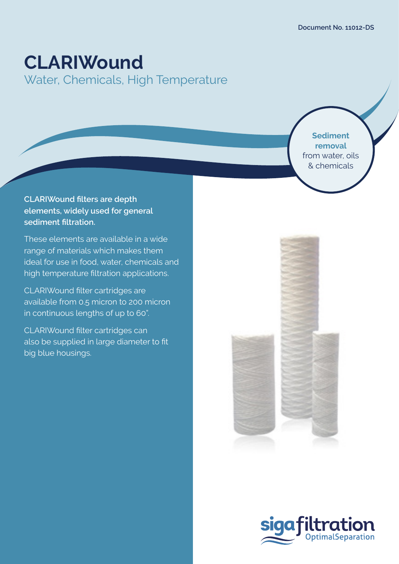# **CLARIWound**

Water, Chemicals, High Temperature

**Sediment removal**  from water, oils & chemicals

## **CLARIWound filters are depth elements, widely used for general sediment filtration.**

These elements are available in a wide range of materials which makes them ideal for use in food, water, chemicals and high temperature filtration applications.

CLARIWound filter cartridges are available from 0.5 micron to 200 micron in continuous lengths of up to 60".

CLARIWound filter cartridges can also be supplied in large diameter to fit big blue housings.